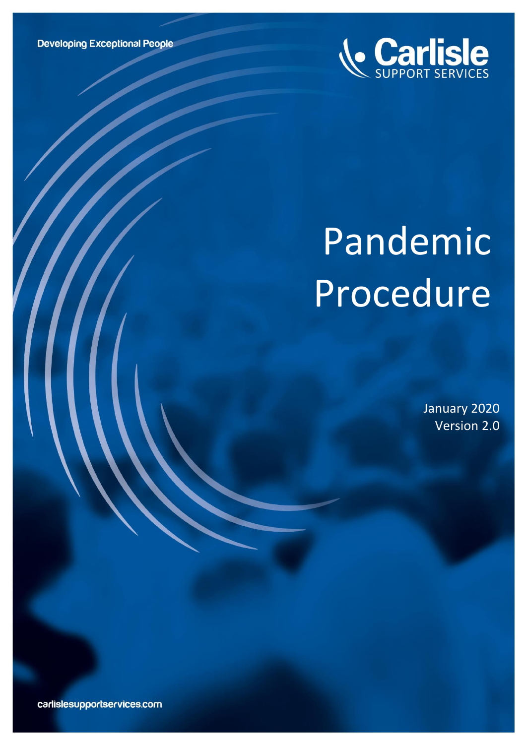

# Pandemic Procedure

January 2020 Version 2.0

carlislesupportservices.com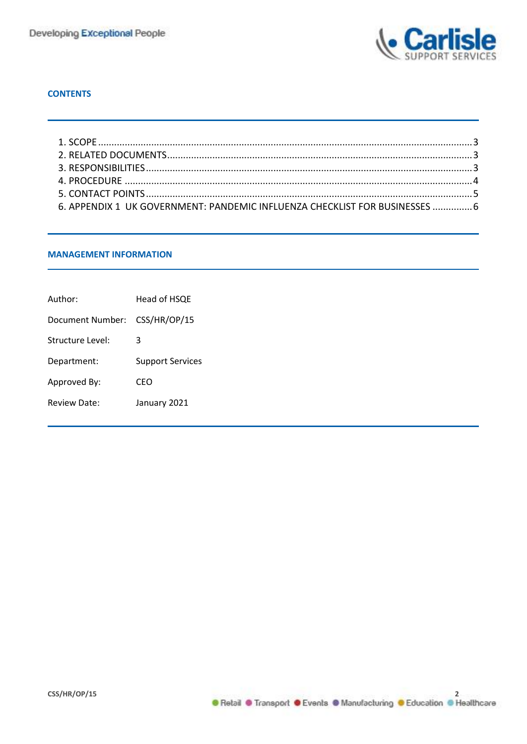

# **CONTENTS**

| 6. APPENDIX 1 UK GOVERNMENT: PANDEMIC INFLUENZA CHECKLIST FOR BUSINESSES  6 |  |
|-----------------------------------------------------------------------------|--|

# **MANAGEMENT INFORMATION**

| Author:          | Head of HSQE            |  |
|------------------|-------------------------|--|
| Document Number: | CSS/HR/OP/15            |  |
| Structure Level: | 3                       |  |
| Department:      | <b>Support Services</b> |  |
| Approved By:     | CFO                     |  |
| Review Date:     | January 2021            |  |
|                  |                         |  |

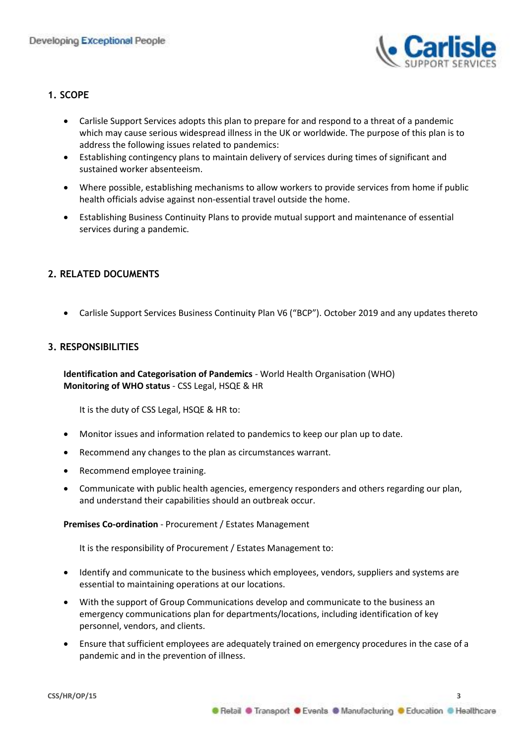

# <span id="page-2-0"></span>**1. SCOPE**

- Carlisle Support Services adopts this plan to prepare for and respond to a threat of a pandemic which may cause serious widespread illness in the UK or worldwide. The purpose of this plan is to address the following issues related to pandemics:
- Establishing contingency plans to maintain delivery of services during times of significant and sustained worker absenteeism.
- Where possible, establishing mechanisms to allow workers to provide services from home if public health officials advise against non-essential travel outside the home.
- Establishing Business Continuity Plans to provide mutual support and maintenance of essential services during a pandemic.

# <span id="page-2-1"></span>**2. RELATED DOCUMENTS**

• Carlisle Support Services Business Continuity Plan V6 ("BCP"). October 2019 and any updates thereto

# <span id="page-2-2"></span>**3. RESPONSIBILITIES**

**Identification and Categorisation of Pandemics** - World Health Organisation (WHO) **Monitoring of WHO status** - CSS Legal, HSQE & HR

It is the duty of CSS Legal, HSQE & HR to:

- Monitor issues and information related to pandemics to keep our plan up to date.
- Recommend any changes to the plan as circumstances warrant.
- Recommend employee training.
- Communicate with public health agencies, emergency responders and others regarding our plan, and understand their capabilities should an outbreak occur.

#### **Premises Co-ordination** - Procurement / Estates Management

It is the responsibility of Procurement / Estates Management to:

- Identify and communicate to the business which employees, vendors, suppliers and systems are essential to maintaining operations at our locations.
- With the support of Group Communications develop and communicate to the business an emergency communications plan for departments/locations, including identification of key personnel, vendors, and clients.
- Ensure that sufficient employees are adequately trained on emergency procedures in the case of a pandemic and in the prevention of illness.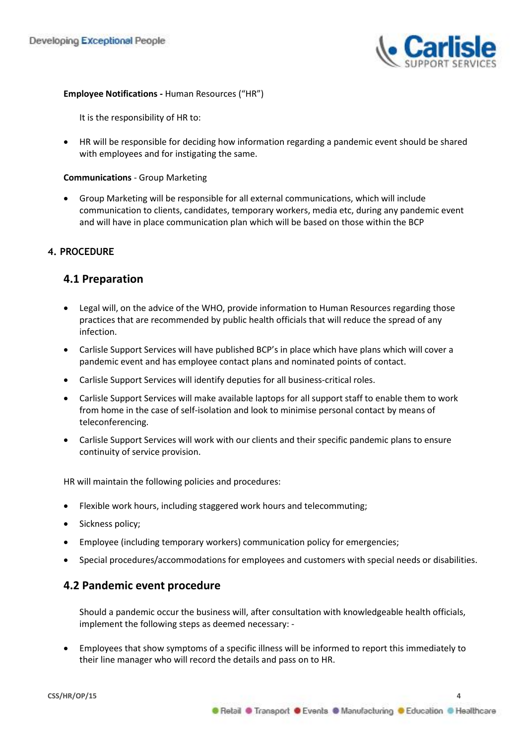

# **Employee Notifications -** Human Resources ("HR")

It is the responsibility of HR to:

• HR will be responsible for deciding how information regarding a pandemic event should be shared with employees and for instigating the same.

#### **Communications** - Group Marketing

• Group Marketing will be responsible for all external communications, which will include communication to clients, candidates, temporary workers, media etc, during any pandemic event and will have in place communication plan which will be based on those within the BCP

# <span id="page-3-0"></span>**4. PROCEDURE**

# **4.1 Preparation**

- Legal will, on the advice of the WHO, provide information to Human Resources regarding those practices that are recommended by public health officials that will reduce the spread of any infection.
- Carlisle Support Services will have published BCP's in place which have plans which will cover a pandemic event and has employee contact plans and nominated points of contact.
- Carlisle Support Services will identify deputies for all business-critical roles.
- Carlisle Support Services will make available laptops for all support staff to enable them to work from home in the case of self-isolation and look to minimise personal contact by means of teleconferencing.
- Carlisle Support Services will work with our clients and their specific pandemic plans to ensure continuity of service provision.

HR will maintain the following policies and procedures:

- Flexible work hours, including staggered work hours and telecommuting;
- Sickness policy;
- Employee (including temporary workers) communication policy for emergencies;
- Special procedures/accommodations for employees and customers with special needs or disabilities.

# **4.2 Pandemic event procedure**

Should a pandemic occur the business will, after consultation with knowledgeable health officials, implement the following steps as deemed necessary: -

• Employees that show symptoms of a specific illness will be informed to report this immediately to their line manager who will record the details and pass on to HR.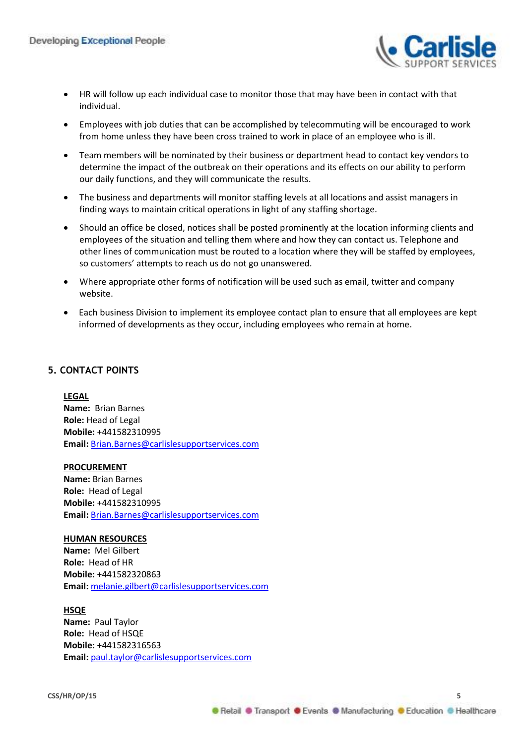

- HR will follow up each individual case to monitor those that may have been in contact with that individual.
- Employees with job duties that can be accomplished by telecommuting will be encouraged to work from home unless they have been cross trained to work in place of an employee who is ill.
- Team members will be nominated by their business or department head to contact key vendors to determine the impact of the outbreak on their operations and its effects on our ability to perform our daily functions, and they will communicate the results.
- The business and departments will monitor staffing levels at all locations and assist managers in finding ways to maintain critical operations in light of any staffing shortage.
- Should an office be closed, notices shall be posted prominently at the location informing clients and employees of the situation and telling them where and how they can contact us. Telephone and other lines of communication must be routed to a location where they will be staffed by employees, so customers' attempts to reach us do not go unanswered.
- Where appropriate other forms of notification will be used such as email, twitter and company website.
- Each business Division to implement its employee contact plan to ensure that all employees are kept informed of developments as they occur, including employees who remain at home.

# <span id="page-4-0"></span>**5. CONTACT POINTS**

#### **LEGAL**

**Name:** Brian Barnes **Role:** Head of Legal **Mobile:** +441582310995 **Email:** [Brian.Barnes@carlislesupportservices.com](mailto:Brian.Barnes@carlislesupportservices.com)

#### **PROCUREMENT**

**Name:** Brian Barnes **Role:** Head of Legal **Mobile:** +441582310995 **Email:** [Brian.Barnes@carlislesupportservices.com](mailto:Brian.Barnes@carlislesupportservices.com)

#### **HUMAN RESOURCES**

**Name:** Mel Gilbert **Role:** Head of HR **Mobile:** +441582320863 **Email:** [melanie.gilbert@carlislesupportservices.com](mailto:melanie.gilbert@carlislesupportservices.com)

#### **HSQE**

**Name:** Paul Taylor **Role:** Head of HSQE **Mobile:** +441582316563 **Email:** [paul.taylor@carlislesupportservices.com](mailto:paul.taylor@carlislesupportservices.com)

● Retail ● Transport ● Events ● Manufacturing ● Education ● Healthcare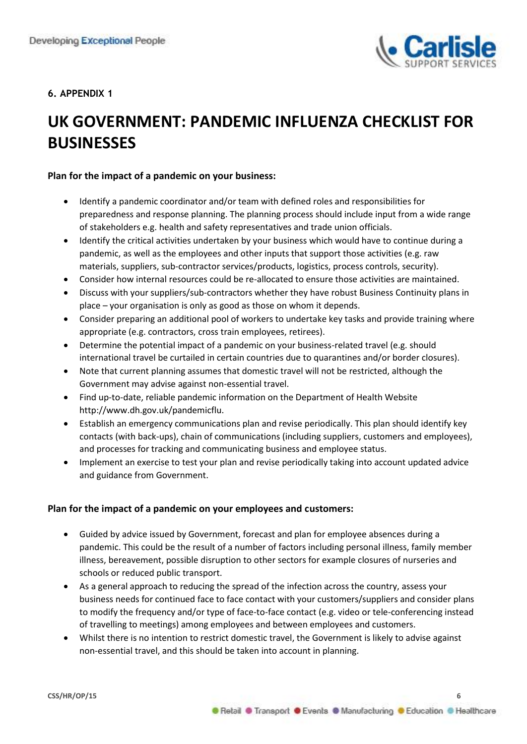

# <span id="page-5-0"></span>**6. APPENDIX 1**

# **UK GOVERNMENT: PANDEMIC INFLUENZA CHECKLIST FOR BUSINESSES**

# **Plan for the impact of a pandemic on your business:**

- Identify a pandemic coordinator and/or team with defined roles and responsibilities for preparedness and response planning. The planning process should include input from a wide range of stakeholders e.g. health and safety representatives and trade union officials.
- Identify the critical activities undertaken by your business which would have to continue during a pandemic, as well as the employees and other inputs that support those activities (e.g. raw materials, suppliers, sub-contractor services/products, logistics, process controls, security).
- Consider how internal resources could be re-allocated to ensure those activities are maintained.
- Discuss with your suppliers/sub-contractors whether they have robust Business Continuity plans in place – your organisation is only as good as those on whom it depends.
- Consider preparing an additional pool of workers to undertake key tasks and provide training where appropriate (e.g. contractors, cross train employees, retirees).
- Determine the potential impact of a pandemic on your business-related travel (e.g. should international travel be curtailed in certain countries due to quarantines and/or border closures).
- Note that current planning assumes that domestic travel will not be restricted, although the Government may advise against non-essential travel.
- Find up-to-date, reliable pandemic information on the Department of Health Website http://www.dh.gov.uk/pandemicflu.
- Establish an emergency communications plan and revise periodically. This plan should identify key contacts (with back-ups), chain of communications (including suppliers, customers and employees), and processes for tracking and communicating business and employee status.
- Implement an exercise to test your plan and revise periodically taking into account updated advice and guidance from Government.

# **Plan for the impact of a pandemic on your employees and customers:**

- Guided by advice issued by Government, forecast and plan for employee absences during a pandemic. This could be the result of a number of factors including personal illness, family member illness, bereavement, possible disruption to other sectors for example closures of nurseries and schools or reduced public transport.
- As a general approach to reducing the spread of the infection across the country, assess your business needs for continued face to face contact with your customers/suppliers and consider plans to modify the frequency and/or type of face-to-face contact (e.g. video or tele-conferencing instead of travelling to meetings) among employees and between employees and customers.
- Whilst there is no intention to restrict domestic travel, the Government is likely to advise against non-essential travel, and this should be taken into account in planning.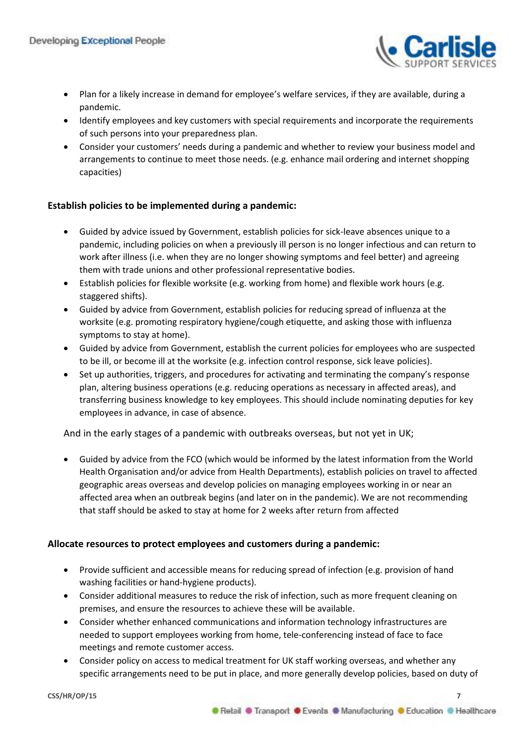

- Plan for a likely increase in demand for employee's welfare services, if they are available, during a pandemic.
- Identify employees and key customers with special requirements and incorporate the requirements of such persons into your preparedness plan.
- Consider your customers' needs during a pandemic and whether to review your business model and arrangements to continue to meet those needs. (e.g. enhance mail ordering and internet shopping capacities)

# **Establish policies to be implemented during a pandemic:**

- Guided by advice issued by Government, establish policies for sick-leave absences unique to a pandemic, including policies on when a previously ill person is no longer infectious and can return to work after illness (i.e. when they are no longer showing symptoms and feel better) and agreeing them with trade unions and other professional representative bodies.
- Establish policies for flexible worksite (e.g. working from home) and flexible work hours (e.g. staggered shifts).
- Guided by advice from Government, establish policies for reducing spread of influenza at the worksite (e.g. promoting respiratory hygiene/cough etiquette, and asking those with influenza symptoms to stay at home).
- Guided by advice from Government, establish the current policies for employees who are suspected to be ill, or become ill at the worksite (e.g. infection control response, sick leave policies).
- Set up authorities, triggers, and procedures for activating and terminating the company's response plan, altering business operations (e.g. reducing operations as necessary in affected areas), and transferring business knowledge to key employees. This should include nominating deputies for key employees in advance, in case of absence.

# And in the early stages of a pandemic with outbreaks overseas, but not yet in UK;

• Guided by advice from the FCO (which would be informed by the latest information from the World Health Organisation and/or advice from Health Departments), establish policies on travel to affected geographic areas overseas and develop policies on managing employees working in or near an affected area when an outbreak begins (and later on in the pandemic). We are not recommending that staff should be asked to stay at home for 2 weeks after return from affected

# **Allocate resources to protect employees and customers during a pandemic:**

- Provide sufficient and accessible means for reducing spread of infection (e.g. provision of hand washing facilities or hand-hygiene products).
- Consider additional measures to reduce the risk of infection, such as more frequent cleaning on premises, and ensure the resources to achieve these will be available.
- Consider whether enhanced communications and information technology infrastructures are needed to support employees working from home, tele-conferencing instead of face to face meetings and remote customer access.
- Consider policy on access to medical treatment for UK staff working overseas, and whether any specific arrangements need to be put in place, and more generally develop policies, based on duty of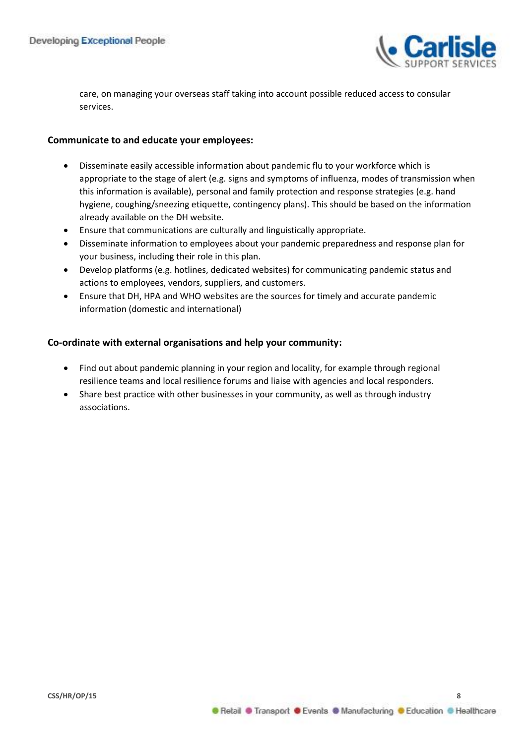

care, on managing your overseas staff taking into account possible reduced access to consular services.

# **Communicate to and educate your employees:**

- Disseminate easily accessible information about pandemic flu to your workforce which is appropriate to the stage of alert (e.g. signs and symptoms of influenza, modes of transmission when this information is available), personal and family protection and response strategies (e.g. hand hygiene, coughing/sneezing etiquette, contingency plans). This should be based on the information already available on the DH website.
- Ensure that communications are culturally and linguistically appropriate.
- Disseminate information to employees about your pandemic preparedness and response plan for your business, including their role in this plan.
- Develop platforms (e.g. hotlines, dedicated websites) for communicating pandemic status and actions to employees, vendors, suppliers, and customers.
- Ensure that DH, HPA and WHO websites are the sources for timely and accurate pandemic information (domestic and international)

# **Co-ordinate with external organisations and help your community:**

- Find out about pandemic planning in your region and locality, for example through regional resilience teams and local resilience forums and liaise with agencies and local responders.
- Share best practice with other businesses in your community, as well as through industry associations.